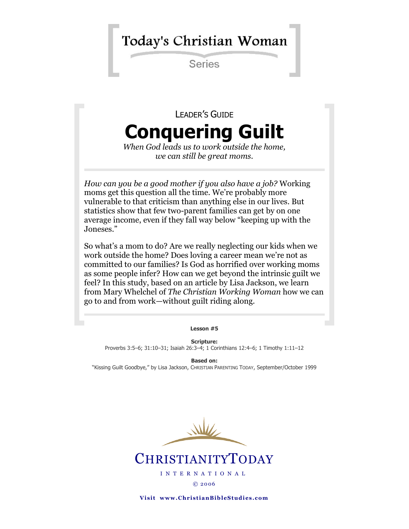## Today's Christian Woman

**Series** 

# LEADER'S GUIDE **Conquering Guilt**

*When God leads us to work outside the home, we can still be great moms.*

*How can you be a good mother if you also have a job?* Working moms get this question all the time. We're probably more vulnerable to that criticism than anything else in our lives. But statistics show that few two-parent families can get by on one average income, even if they fall way below "keeping up with the Joneses."

So what's a mom to do? Are we really neglecting our kids when we work outside the home? Does loving a career mean we're not as committed to our families? Is God as horrified over working moms as some people infer? How can we get beyond the intrinsic guilt we feel? In this study, based on an article by Lisa Jackson, we learn from Mary Whelchel of *The Christian Working Woman* how we can go to and from work—without guilt riding along.

**Lesson #5**

**Scripture:** Proverbs 3:5–6; 31:10–31; Isaiah 26:3–4; 1 Corinthians 12:4–6; 1 Timothy 1:11–12

**Based on:** "Kissing Guilt Goodbye," by Lisa Jackson, CHRISTIAN PARENTING TODAY, September/October 1999



**CHRISTIANITYTODAY** 

I N T E R N A T I O N A L © 20 06

**Visit www.ChristianBibleStudies.com**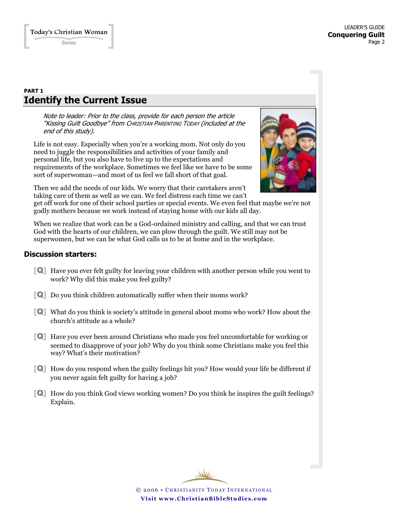## **PART 1 Identify the Current Issue**

Note to leader: Prior to the class, provide for each person the article "Kissing Guilt Goodbye" from CHRISTIAN PARENTING TODAY (included at the end of this study).

Life is not easy. Especially when you're a working mom. Not only do you need to juggle the responsibilities and activities of your family and personal life, but you also have to live up to the expectations and requirements of the workplace. Sometimes we feel like we have to be some sort of superwoman—and most of us feel we fall short of that goal.



Then we add the needs of our kids. We worry that their caretakers aren't taking care of them as well as we can. We feel distress each time we can't

get off work for one of their school parties or special events. We even feel that maybe we're not godly mothers because we work instead of staying home with our kids all day.

When we realize that work can be a God-ordained ministry and calling, and that we can trust God with the hearts of our children, we can plow through the guilt. We still may not be superwomen, but we can be what God calls us to be at home and in the workplace.

## **Discussion starters:**

- [Q] Have you ever felt guilty for leaving your children with another person while you went to work? Why did this make you feel guilty?
- [Q] Do you think children automatically suffer when their moms work?
- [Q] What do you think is society's attitude in general about moms who work? How about the church's attitude as a whole?
- [Q] Have you ever been around Christians who made you feel uncomfortable for working or seemed to disapprove of your job? Why do you think some Christians make you feel this way? What's their motivation?
- [Q] How do you respond when the guilty feelings hit you? How would your life be different if you never again felt guilty for having a job?
- [Q] How do you think God views working women? Do you think he inspires the guilt feelings? Explain.

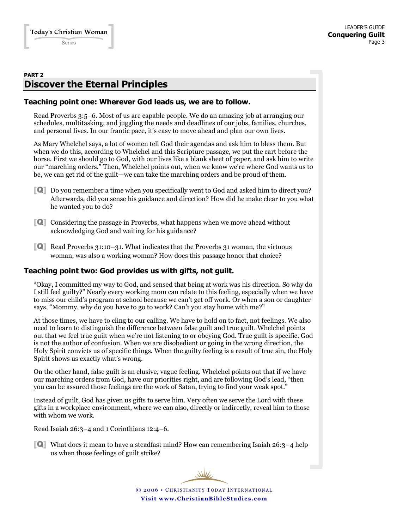## **PART 2 Discover the Eternal Principles**

### **Teaching point one: Wherever God leads us, we are to follow.**

Read Proverbs 3:5–6. Most of us are capable people. We do an amazing job at arranging our schedules, multitasking, and juggling the needs and deadlines of our jobs, families, churches, and personal lives. In our frantic pace, it's easy to move ahead and plan our own lives.

As Mary Whelchel says, a lot of women tell God their agendas and ask him to bless them. But when we do this, according to Whelchel and this Scripture passage, we put the cart before the horse. First we should go to God, with our lives like a blank sheet of paper, and ask him to write our "marching orders." Then, Whelchel points out, when we know we're where God wants us to be, we can get rid of the guilt—we can take the marching orders and be proud of them.

- [Q] Do you remember a time when you specifically went to God and asked him to direct you? Afterwards, did you sense his guidance and direction? How did he make clear to you what he wanted you to do?
- [Q] Considering the passage in Proverbs, what happens when we move ahead without acknowledging God and waiting for his guidance?
- [Q] Read Proverbs 31:10–31. What indicates that the Proverbs 31 woman, the virtuous woman, was also a working woman? How does this passage honor that choice?

## **Teaching point two: God provides us with gifts, not guilt.**

"Okay, I committed my way to God, and sensed that being at work was his direction. So why do I still feel guilty?" Nearly every working mom can relate to this feeling, especially when we have to miss our child's program at school because we can't get off work. Or when a son or daughter says, "Mommy, why do you have to go to work? Can't you stay home with me?"

At those times, we have to cling to our calling. We have to hold on to fact, not feelings. We also need to learn to distinguish the difference between false guilt and true guilt. Whelchel points out that we feel true guilt when we're not listening to or obeying God. True guilt is specific. God is not the author of confusion. When we are disobedient or going in the wrong direction, the Holy Spirit convicts us of specific things. When the guilty feeling is a result of true sin, the Holy Spirit shows us exactly what's wrong.

On the other hand, false guilt is an elusive, vague feeling. Whelchel points out that if we have our marching orders from God, have our priorities right, and are following God's lead, "then you can be assured those feelings are the work of Satan, trying to find your weak spot."

Instead of guilt, God has given us gifts to serve him. Very often we serve the Lord with these gifts in a workplace environment, where we can also, directly or indirectly, reveal him to those with whom we work.

Read Isaiah 26:3–4 and 1 Corinthians 12:4–6.

[Q] What does it mean to have a steadfast mind? How can remembering Isaiah 26:3–4 help us when those feelings of guilt strike?

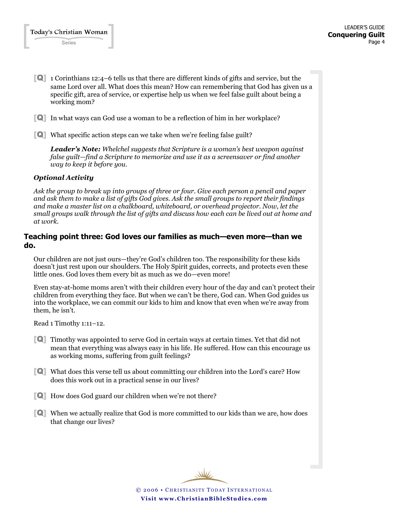- [Q] 1 Corinthians 12:4–6 tells us that there are different kinds of gifts and service, but the same Lord over all. What does this mean? How can remembering that God has given us a specific gift, area of service, or expertise help us when we feel false guilt about being a working mom?
- [Q] In what ways can God use a woman to be a reflection of him in her workplace?
- [Q] What specific action steps can we take when we're feeling false guilt?

*Leader's Note: Whelchel suggests that Scripture is a woman's best weapon against false guilt—find a Scripture to memorize and use it as a screensaver or find another way to keep it before you.*

#### *Optional Activity*

*Ask the group to break up into groups of three or four. Give each person a pencil and paper and ask them to make a list of gifts God gives. Ask the small groups to report their findings and make a master list on a chalkboard, whiteboard, or overhead projector. Now, let the small groups walk through the list of gifts and discuss how each can be lived out at home and at work.*

#### **Teaching point three: God loves our families as much—even more—than we do.**

Our children are not just ours—they're God's children too. The responsibility for these kids doesn't just rest upon our shoulders. The Holy Spirit guides, corrects, and protects even these little ones. God loves them every bit as much as we do—even more!

Even stay-at-home moms aren't with their children every hour of the day and can't protect their children from everything they face. But when we can't be there, God can. When God guides us into the workplace, we can commit our kids to him and know that even when we're away from them, he isn't.

Read 1 Timothy 1:11–12.

- [Q] Timothy was appointed to serve God in certain ways at certain times. Yet that did not mean that everything was always easy in his life. He suffered. How can this encourage us as working moms, suffering from guilt feelings?
- [Q] What does this verse tell us about committing our children into the Lord's care? How does this work out in a practical sense in our lives?
- [Q] How does God guard our children when we're not there?
- [Q] When we actually realize that God is more committed to our kids than we are, how does that change our lives?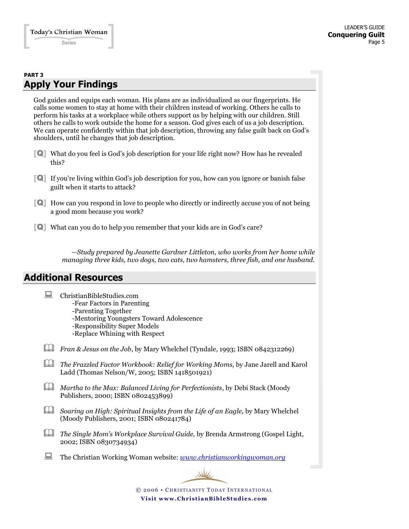## **PART 3 Apply Your Findings**

God guides and equips each woman. His plans are as individualized as our fingerprints. He calls some women to stay at home with their children instead of working. Others he calls to perform his tasks at a workplace while others support us by helping with our children. Still others he calls to work outside the home for a season. God gives each of us a job description. We can operate confidently within that job description, throwing any false guilt back on God's shoulders, until he changes that job description.

- [Q] What do you feel is God's job description for your life right now? How has he revealed this?
- [Q] If you're living within God's job description for you, how can you ignore or banish false guilt when it starts to attack?
- [Q] How can you respond in love to people who directly or indirectly accuse you of not being a good mom because you work?
- [Q] What can you do to help you remember that your kids are in God's care?

*—Study prepared by Jeanette Gardner Littleton, who works from her home while managing three kids, two dogs, two cats, two hamsters, three fish, and one husband.*

## **Additional Resources**

- ChristianBibleStudies.com
	- -Fear Factors in Parenting
	- -Parenting Together
	- -Mentoring Youngsters Toward Adolescence
	- -Responsibility Super Models
	- -Replace Whining with Respect
- *Fran & Jesus on the Job*, by Mary Whelchel (Tyndale, 1993; ISBN 0842312269)
- *The Frazzled Factor Workbook: Relief for Working Moms,* by Jane Jarell and Karol Ladd (Thomas Nelson/W, 2005; ISBN 1418501921)
- *Martha to the Max: Balanced Living for Perfectionists*, by Debi Stack (Moody Publishers, 2000; ISBN 0802453899)
- *Soaring on High: Spiritual Insights from the Life of an Eagle,* by Mary Whelchel (Moody Publishers, 2001; ISBN 080241784)
- *The Single Mom's Workplace Survival Guide,* by Brenda Armstrong (Gospel Light, 2002; ISBN 0830734934)
- The Christian Working Woman website: *[www.christianworkingwoman.org](http://www.christianworkingwoman.org/)*

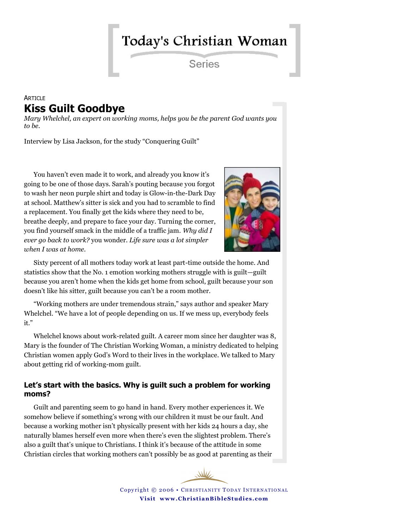# Today's Christian Woman

Series

## **ARTICLE Kiss Guilt Goodbye**

*Mary Whelchel, an expert on working moms, helps you be the parent God wants you to be.* 

Interview by Lisa Jackson, for the study "Conquering Guilt"

You haven't even made it to work, and already you know it's going to be one of those days. Sarah's pouting because you forgot to wash her neon purple shirt and today is Glow-in-the-Dark Day at school. Matthew's sitter is sick and you had to scramble to find a replacement. You finally get the kids where they need to be, breathe deeply, and prepare to face your day. Turning the corner, you find yourself smack in the middle of a traffic jam. *Why did I ever go back to work?* you wonder. *Life sure was a lot simpler when I was at home.*



Sixty percent of all mothers today work at least part-time outside the home. And statistics show that the No. 1 emotion working mothers struggle with is guilt—guilt because you aren't home when the kids get home from school, guilt because your son doesn't like his sitter, guilt because you can't be a room mother.

"Working mothers are under tremendous strain," says author and speaker Mary Whelchel. "We have a lot of people depending on us. If we mess up, everybody feels it."

Whelchel knows about work-related guilt. A career mom since her daughter was 8, Mary is the founder of The Christian Working Woman, a ministry dedicated to helping Christian women apply God's Word to their lives in the workplace. We talked to Mary about getting rid of working-mom guilt.

## **Let's start with the basics. Why is guilt such a problem for working moms?**

Guilt and parenting seem to go hand in hand. Every mother experiences it. We somehow believe if something's wrong with our children it must be our fault. And because a working mother isn't physically present with her kids 24 hours a day, she naturally blames herself even more when there's even the slightest problem. There's also a guilt that's unique to Christians. I think it's because of the attitude in some Christian circles that working mothers can't possibly be as good at parenting as their

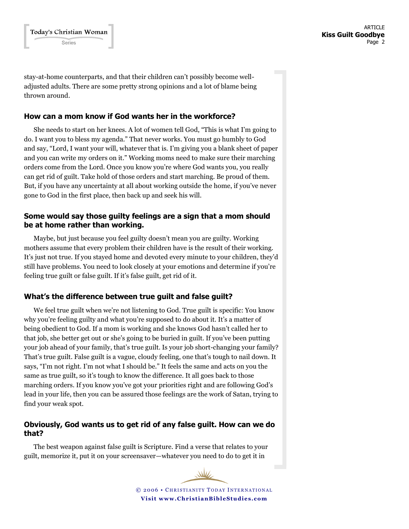stay-at-home counterparts, and that their children can't possibly become welladjusted adults. There are some pretty strong opinions and a lot of blame being thrown around.

### **How can a mom know if God wants her in the workforce?**

She needs to start on her knees. A lot of women tell God, "This is what I'm going to do. I want you to bless my agenda." That never works. You must go humbly to God and say, "Lord, I want your will, whatever that is. I'm giving you a blank sheet of paper and you can write my orders on it." Working moms need to make sure their marching orders come from the Lord. Once you know you're where God wants you, you really can get rid of guilt. Take hold of those orders and start marching. Be proud of them. But, if you have any uncertainty at all about working outside the home, if you've never gone to God in the first place, then back up and seek his will.

## **Some would say those guilty feelings are a sign that a mom should be at home rather than working.**

Maybe, but just because you feel guilty doesn't mean you are guilty. Working mothers assume that every problem their children have is the result of their working. It's just not true. If you stayed home and devoted every minute to your children, they'd still have problems. You need to look closely at your emotions and determine if you're feeling true guilt or false guilt. If it's false guilt, get rid of it.

## **What's the difference between true guilt and false guilt?**

We feel true guilt when we're not listening to God. True guilt is specific: You know why you're feeling guilty and what you're supposed to do about it. It's a matter of being obedient to God. If a mom is working and she knows God hasn't called her to that job, she better get out or she's going to be buried in guilt. If you've been putting your job ahead of your family, that's true guilt. Is your job short-changing your family? That's true guilt. False guilt is a vague, cloudy feeling, one that's tough to nail down. It says, "I'm not right. I'm not what I should be." It feels the same and acts on you the same as true guilt, so it's tough to know the difference. It all goes back to those marching orders. If you know you've got your priorities right and are following God's lead in your life, then you can be assured those feelings are the work of Satan, trying to find your weak spot.

## **Obviously, God wants us to get rid of any false guilt. How can we do that?**

The best weapon against false guilt is Scripture. Find a verse that relates to your guilt, memorize it, put it on your screensaver—whatever you need to do to get it in

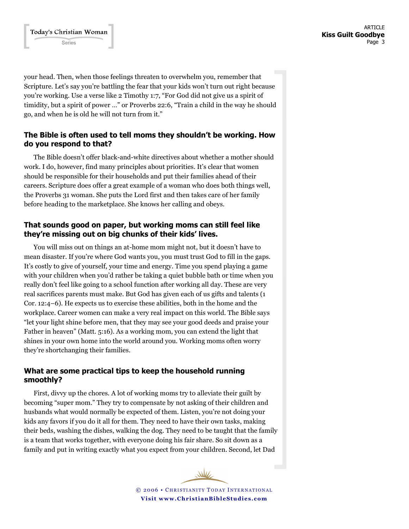your head. Then, when those feelings threaten to overwhelm you, remember that Scripture. Let's say you're battling the fear that your kids won't turn out right because you're working. Use a verse like 2 Timothy 1:7, "For God did not give us a spirit of timidity, but a spirit of power …" or Proverbs 22:6, "Train a child in the way he should go, and when he is old he will not turn from it."

## **The Bible is often used to tell moms they shouldn't be working. How do you respond to that?**

The Bible doesn't offer black-and-white directives about whether a mother should work. I do, however, find many principles about priorities. It's clear that women should be responsible for their households and put their families ahead of their careers. Scripture does offer a great example of a woman who does both things well, the Proverbs 31 woman. She puts the Lord first and then takes care of her family before heading to the marketplace. She knows her calling and obeys.

## **That sounds good on paper, but working moms can still feel like they're missing out on big chunks of their kids' lives.**

You will miss out on things an at-home mom might not, but it doesn't have to mean disaster. If you're where God wants you, you must trust God to fill in the gaps. It's costly to give of yourself, your time and energy. Time you spend playing a game with your children when you'd rather be taking a quiet bubble bath or time when you really don't feel like going to a school function after working all day. These are very real sacrifices parents must make. But God has given each of us gifts and talents (1 Cor. 12:4–6). He expects us to exercise these abilities, both in the home and the workplace. Career women can make a very real impact on this world. The Bible says "let your light shine before men, that they may see your good deeds and praise your Father in heaven" (Matt. 5:16). As a working mom, you can extend the light that shines in your own home into the world around you. Working moms often worry they're shortchanging their families.

## **What are some practical tips to keep the household running smoothly?**

First, divvy up the chores. A lot of working moms try to alleviate their guilt by becoming "super mom." They try to compensate by not asking of their children and husbands what would normally be expected of them. Listen, you're not doing your kids any favors if you do it all for them. They need to have their own tasks, making their beds, washing the dishes, walking the dog. They need to be taught that the family is a team that works together, with everyone doing his fair share. So sit down as a family and put in writing exactly what you expect from your children. Second, let Dad

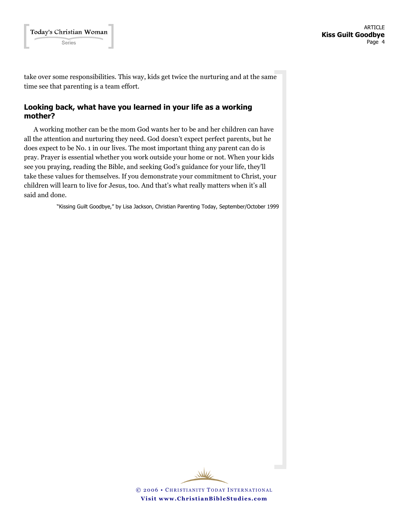take over some responsibilities. This way, kids get twice the nurturing and at the same time see that parenting is a team effort.

## **Looking back, what have you learned in your life as a working mother?**

A working mother can be the mom God wants her to be and her children can have all the attention and nurturing they need. God doesn't expect perfect parents, but he does expect to be No. 1 in our lives. The most important thing any parent can do is pray. Prayer is essential whether you work outside your home or not. When your kids see you praying, reading the Bible, and seeking God's guidance for your life, they'll take these values for themselves. If you demonstrate your commitment to Christ, your children will learn to live for Jesus, too. And that's what really matters when it's all said and done.

"Kissing Guilt Goodbye," by Lisa Jackson, Christian Parenting Today, September/October 1999

WW